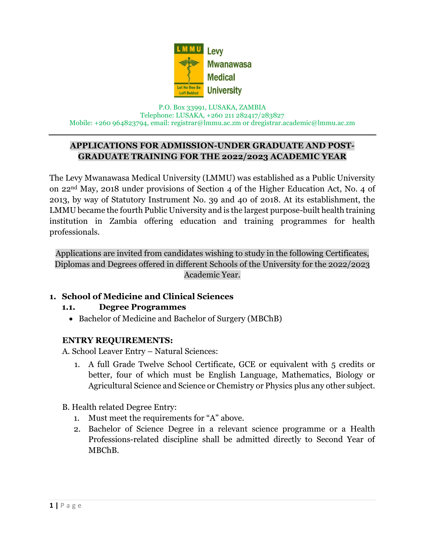

P.O. Box 33991, LUSAKA, ZAMBIA Telephone: LUSAKA, +260 211 282417/283827 Mobile: +260 964823794, email: [registrar@lmmu.ac.zm](mailto:registrar@lmmu.ac.zm) or dregistrar.academic@lmmu.ac.zm

# **APPLICATIONS FOR ADMISSION-UNDER GRADUATE AND POST-GRADUATE TRAINING FOR THE 2022/2023 ACADEMIC YEAR**

The Levy Mwanawasa Medical University (LMMU) was established as a Public University on 22nd May, 2018 under provisions of Section 4 of the Higher Education Act, No. 4 of 2013, by way of Statutory Instrument No. 39 and 40 of 2018. At its establishment, the LMMU became the fourth Public University and is the largest purpose-built health training institution in Zambia offering education and training programmes for health professionals.

Applications are invited from candidates wishing to study in the following Certificates, Diplomas and Degrees offered in different Schools of the University for the 2022/2023 Academic Year.

# **1. School of Medicine and Clinical Sciences**

## **1.1. Degree Programmes**

• Bachelor of Medicine and Bachelor of Surgery (MBChB)

# **ENTRY REQUIREMENTS:**

A. School Leaver Entry – Natural Sciences:

1. A full Grade Twelve School Certificate, GCE or equivalent with 5 credits or better, four of which must be English Language, Mathematics, Biology or Agricultural Science and Science or Chemistry or Physics plus any other subject.

## B. Health related Degree Entry:

- 1. Must meet the requirements for "A" above.
- 2. Bachelor of Science Degree in a relevant science programme or a Health Professions-related discipline shall be admitted directly to Second Year of MBChB.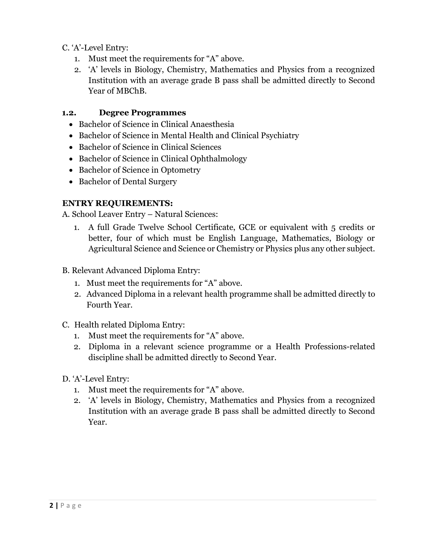C. 'A'-Level Entry:

- 1. Must meet the requirements for "A" above.
- 2. 'A' levels in Biology, Chemistry, Mathematics and Physics from a recognized Institution with an average grade B pass shall be admitted directly to Second Year of MBChB.

# **1.2. Degree Programmes**

- Bachelor of Science in Clinical Anaesthesia
- Bachelor of Science in Mental Health and Clinical Psychiatry
- Bachelor of Science in Clinical Sciences
- Bachelor of Science in Clinical Ophthalmology
- Bachelor of Science in Optometry
- Bachelor of Dental Surgery

# **ENTRY REQUIREMENTS:**

A. School Leaver Entry – Natural Sciences:

- 1. A full Grade Twelve School Certificate, GCE or equivalent with 5 credits or better, four of which must be English Language, Mathematics, Biology or Agricultural Science and Science or Chemistry or Physics plus any other subject.
- B. Relevant Advanced Diploma Entry:
	- 1. Must meet the requirements for "A" above.
	- 2. Advanced Diploma in a relevant health programme shall be admitted directly to Fourth Year.
- C. Health related Diploma Entry:
	- 1. Must meet the requirements for "A" above.
	- 2. Diploma in a relevant science programme or a Health Professions-related discipline shall be admitted directly to Second Year.
- D. 'A'-Level Entry:
	- 1. Must meet the requirements for "A" above.
	- 2. 'A' levels in Biology, Chemistry, Mathematics and Physics from a recognized Institution with an average grade B pass shall be admitted directly to Second Year.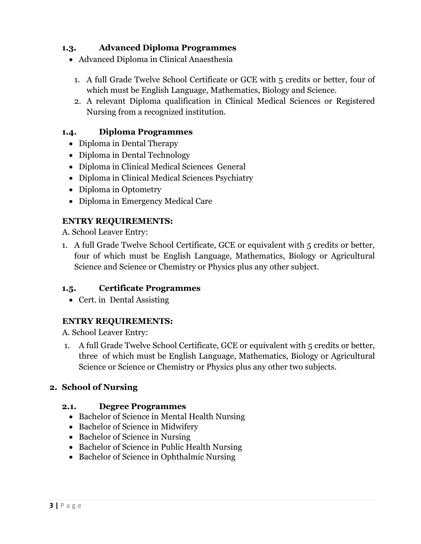# **1.3. Advanced Diploma Programmes**

- Advanced Diploma in Clinical Anaesthesia
	- 1. A full Grade Twelve School Certificate or GCE with 5 credits or better, four of which must be English Language, Mathematics, Biology and Science.
	- 2. A relevant Diploma qualification in Clinical Medical Sciences or Registered Nursing from a recognized institution.

## **1.4. Diploma Programmes**

- Diploma in Dental Therapy
- Diploma in Dental Technology
- Diploma in Clinical Medical Sciences General
- Diploma in Clinical Medical Sciences Psychiatry
- Diploma in Optometry
- Diploma in Emergency Medical Care

# **ENTRY REQUIREMENTS:**

A. School Leaver Entry:

1. A full Grade Twelve School Certificate, GCE or equivalent with 5 credits or better, four of which must be English Language, Mathematics, Biology or Agricultural Science and Science or Chemistry or Physics plus any other subject.

# **1.5. Certificate Programmes**

• Cert. in Dental Assisting

# **ENTRY REQUIREMENTS:**

A. School Leaver Entry:

1. A full Grade Twelve School Certificate, GCE or equivalent with 5 credits or better, three of which must be English Language, Mathematics, Biology or Agricultural Science or Science or Chemistry or Physics plus any other two subjects.

# **2. School of Nursing**

## **2.1. Degree Programmes**

- Bachelor of Science in Mental Health Nursing
- Bachelor of Science in Midwifery
- Bachelor of Science in Nursing
- Bachelor of Science in Public Health Nursing
- Bachelor of Science in Ophthalmic Nursing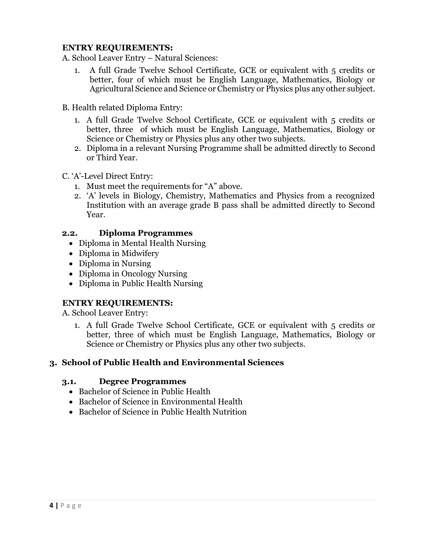## **ENTRY REQUIREMENTS:**

A. School Leaver Entry – Natural Sciences:

- 1. A full Grade Twelve School Certificate, GCE or equivalent with 5 credits or better, four of which must be English Language, Mathematics, Biology or Agricultural Science and Science or Chemistry or Physics plus any other subject.
- B. Health related Diploma Entry:
	- 1. A full Grade Twelve School Certificate, GCE or equivalent with 5 credits or better, three of which must be English Language, Mathematics, Biology or Science or Chemistry or Physics plus any other two subjects.
	- 2. Diploma in a relevant Nursing Programme shall be admitted directly to Second or Third Year.

#### C. 'A'-Level Direct Entry:

- 1. Must meet the requirements for "A" above.
- 2. 'A' levels in Biology, Chemistry, Mathematics and Physics from a recognized Institution with an average grade B pass shall be admitted directly to Second Year.

#### **2.2. Diploma Programmes**

- Diploma in Mental Health Nursing
- Diploma in Midwifery
- Diploma in Nursing
- Diploma in Oncology Nursing
- Diploma in Public Health Nursing

## **ENTRY REQUIREMENTS:**

A. School Leaver Entry:

1. A full Grade Twelve School Certificate, GCE or equivalent with 5 credits or better, three of which must be English Language, Mathematics, Biology or Science or Chemistry or Physics plus any other two subjects.

## **3. School of Public Health and Environmental Sciences**

#### **3.1. Degree Programmes**

- Bachelor of Science in Public Health
- Bachelor of Science in Environmental Health
- Bachelor of Science in Public Health Nutrition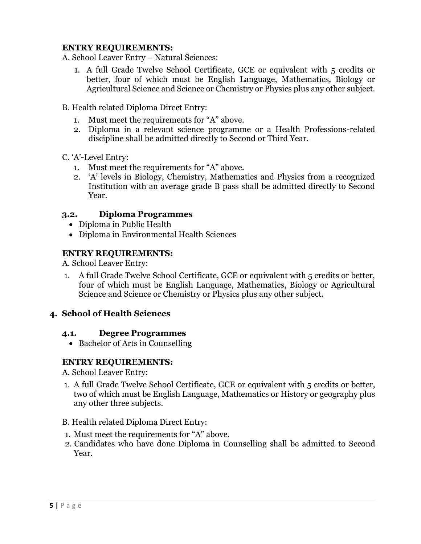## **ENTRY REQUIREMENTS:**

A. School Leaver Entry – Natural Sciences:

1. A full Grade Twelve School Certificate, GCE or equivalent with 5 credits or better, four of which must be English Language, Mathematics, Biology or Agricultural Science and Science or Chemistry or Physics plus any other subject.

B. Health related Diploma Direct Entry:

- 1. Must meet the requirements for "A" above.
- 2. Diploma in a relevant science programme or a Health Professions-related discipline shall be admitted directly to Second or Third Year.

C. 'A'-Level Entry:

- 1. Must meet the requirements for "A" above.
- 2. 'A' levels in Biology, Chemistry, Mathematics and Physics from a recognized Institution with an average grade B pass shall be admitted directly to Second Year.

#### **3.2. Diploma Programmes**

- Diploma in Public Health
- Diploma in Environmental Health Sciences

## **ENTRY REQUIREMENTS:**

A. School Leaver Entry:

1. A full Grade Twelve School Certificate, GCE or equivalent with 5 credits or better, four of which must be English Language, Mathematics, Biology or Agricultural Science and Science or Chemistry or Physics plus any other subject.

## **4. School of Health Sciences**

#### **4.1. Degree Programmes**

• Bachelor of Arts in Counselling

## **ENTRY REQUIREMENTS:**

A. School Leaver Entry:

1. A full Grade Twelve School Certificate, GCE or equivalent with 5 credits or better, two of which must be English Language, Mathematics or History or geography plus any other three subjects.

#### B. Health related Diploma Direct Entry:

- 1. Must meet the requirements for "A" above.
- 2. Candidates who have done Diploma in Counselling shall be admitted to Second Year.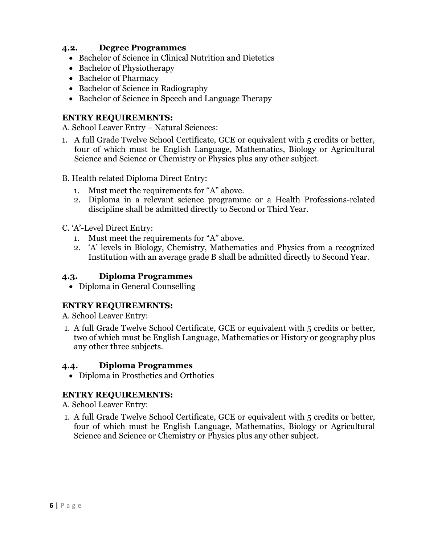## **4.2. Degree Programmes**

- Bachelor of Science in Clinical Nutrition and Dietetics
- Bachelor of Physiotherapy
- Bachelor of Pharmacy
- Bachelor of Science in Radiography
- Bachelor of Science in Speech and Language Therapy

#### **ENTRY REQUIREMENTS:**

A. School Leaver Entry – Natural Sciences:

- 1. A full Grade Twelve School Certificate, GCE or equivalent with 5 credits or better, four of which must be English Language, Mathematics, Biology or Agricultural Science and Science or Chemistry or Physics plus any other subject.
- B. Health related Diploma Direct Entry:
	- 1. Must meet the requirements for "A" above.
	- 2. Diploma in a relevant science programme or a Health Professions-related discipline shall be admitted directly to Second or Third Year.

#### C. 'A'-Level Direct Entry:

- 1. Must meet the requirements for "A" above.
- 2. 'A' levels in Biology, Chemistry, Mathematics and Physics from a recognized Institution with an average grade B shall be admitted directly to Second Year.

### **4.3. Diploma Programmes**

• Diploma in General Counselling

## **ENTRY REQUIREMENTS:**

A. School Leaver Entry:

1. A full Grade Twelve School Certificate, GCE or equivalent with 5 credits or better, two of which must be English Language, Mathematics or History or geography plus any other three subjects.

## **4.4. Diploma Programmes**

Diploma in Prosthetics and Orthotics

## **ENTRY REQUIREMENTS:**

A. School Leaver Entry:

1. A full Grade Twelve School Certificate, GCE or equivalent with 5 credits or better, four of which must be English Language, Mathematics, Biology or Agricultural Science and Science or Chemistry or Physics plus any other subject.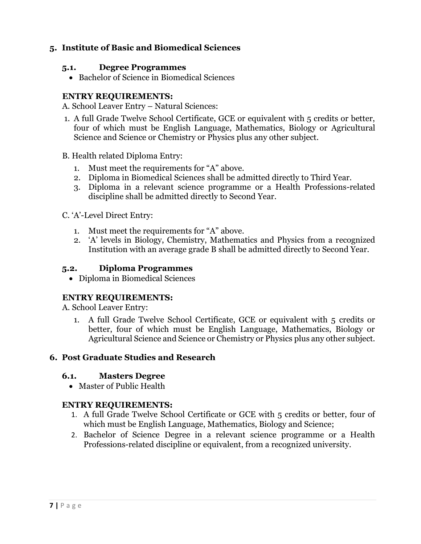## **5. Institute of Basic and Biomedical Sciences**

#### **5.1. Degree Programmes**

• Bachelor of Science in Biomedical Sciences

### **ENTRY REQUIREMENTS:**

A. School Leaver Entry – Natural Sciences:

- 1. A full Grade Twelve School Certificate, GCE or equivalent with 5 credits or better, four of which must be English Language, Mathematics, Biology or Agricultural Science and Science or Chemistry or Physics plus any other subject.
- B. Health related Diploma Entry:
	- 1. Must meet the requirements for "A" above.
	- 2. Diploma in Biomedical Sciences shall be admitted directly to Third Year.
	- 3. Diploma in a relevant science programme or a Health Professions-related discipline shall be admitted directly to Second Year.
- C. 'A'-Level Direct Entry:
	- 1. Must meet the requirements for "A" above.
	- 2. 'A' levels in Biology, Chemistry, Mathematics and Physics from a recognized Institution with an average grade B shall be admitted directly to Second Year.

### **5.2. Diploma Programmes**

• Diploma in Biomedical Sciences

## **ENTRY REQUIREMENTS:**

A. School Leaver Entry:

1. A full Grade Twelve School Certificate, GCE or equivalent with 5 credits or better, four of which must be English Language, Mathematics, Biology or Agricultural Science and Science or Chemistry or Physics plus any other subject.

## **6. Post Graduate Studies and Research**

#### **6.1. Masters Degree**

Master of Public Health

## **ENTRY REQUIREMENTS:**

- 1. A full Grade Twelve School Certificate or GCE with 5 credits or better, four of which must be English Language, Mathematics, Biology and Science;
- 2. Bachelor of Science Degree in a relevant science programme or a Health Professions-related discipline or equivalent, from a recognized university.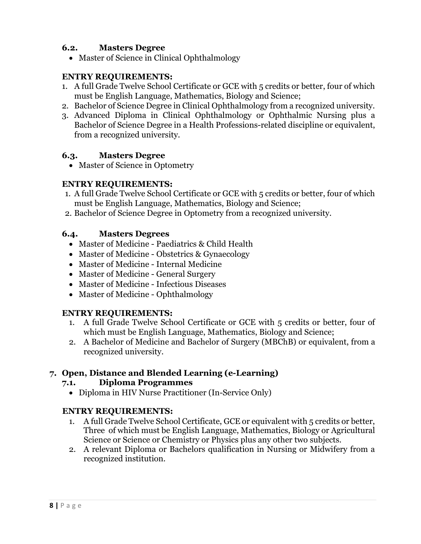## **6.2. Masters Degree**

• Master of Science in Clinical Ophthalmology

### **ENTRY REQUIREMENTS:**

- 1. A full Grade Twelve School Certificate or GCE with 5 credits or better, four of which must be English Language, Mathematics, Biology and Science;
- 2. Bachelor of Science Degree in Clinical Ophthalmology from a recognized university.
- 3. Advanced Diploma in Clinical Ophthalmology or Ophthalmic Nursing plus a Bachelor of Science Degree in a Health Professions-related discipline or equivalent, from a recognized university.

#### **6.3. Masters Degree**

• Master of Science in Optometry

#### **ENTRY REQUIREMENTS:**

- 1. A full Grade Twelve School Certificate or GCE with 5 credits or better, four of which must be English Language, Mathematics, Biology and Science;
- 2. Bachelor of Science Degree in Optometry from a recognized university.

#### **6.4. Masters Degrees**

- Master of Medicine Paediatrics & Child Health
- Master of Medicine Obstetrics & Gynaecology
- Master of Medicine Internal Medicine
- Master of Medicine General Surgery
- Master of Medicine Infectious Diseases
- Master of Medicine Ophthalmology

## **ENTRY REQUIREMENTS:**

- 1. A full Grade Twelve School Certificate or GCE with 5 credits or better, four of which must be English Language, Mathematics, Biology and Science;
- 2. A Bachelor of Medicine and Bachelor of Surgery (MBChB) or equivalent, from a recognized university.

## **7. Open, Distance and Blended Learning (e-Learning)**

#### **7.1. Diploma Programmes**

Diploma in HIV Nurse Practitioner (In-Service Only)

## **ENTRY REQUIREMENTS:**

- 1. A full Grade Twelve School Certificate, GCE or equivalent with 5 credits or better, Three of which must be English Language, Mathematics, Biology or Agricultural Science or Science or Chemistry or Physics plus any other two subjects.
- 2. A relevant Diploma or Bachelors qualification in Nursing or Midwifery from a recognized institution.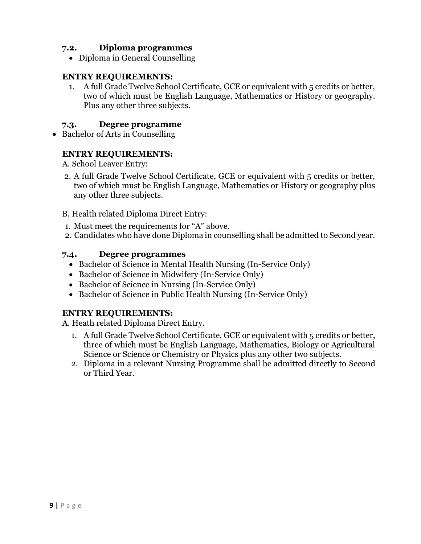## **7.2. Diploma programmes**

• Diploma in General Counselling

## **ENTRY REQUIREMENTS:**

1. A full Grade Twelve School Certificate, GCE or equivalent with 5 credits or better, two of which must be English Language, Mathematics or History or geography. Plus any other three subjects.

## **7.3. Degree programme**

• Bachelor of Arts in Counselling

#### **ENTRY REQUIREMENTS:**

A. School Leaver Entry:

- 2. A full Grade Twelve School Certificate, GCE or equivalent with 5 credits or better, two of which must be English Language, Mathematics or History or geography plus any other three subjects.
- B. Health related Diploma Direct Entry:
- 1. Must meet the requirements for "A" above.
- 2. Candidates who have done Diploma in counselling shall be admitted to Second year.

#### **7.4. Degree programmes**

- Bachelor of Science in Mental Health Nursing (In-Service Only)
- Bachelor of Science in Midwifery (In-Service Only)
- Bachelor of Science in Nursing (In-Service Only)
- Bachelor of Science in Public Health Nursing (In-Service Only)

## **ENTRY REQUIREMENTS:**

A. Heath related Diploma Direct Entry.

- 1. A full Grade Twelve School Certificate, GCE or equivalent with 5 credits or better, three of which must be English Language, Mathematics, Biology or Agricultural Science or Science or Chemistry or Physics plus any other two subjects.
- 2. Diploma in a relevant Nursing Programme shall be admitted directly to Second or Third Year.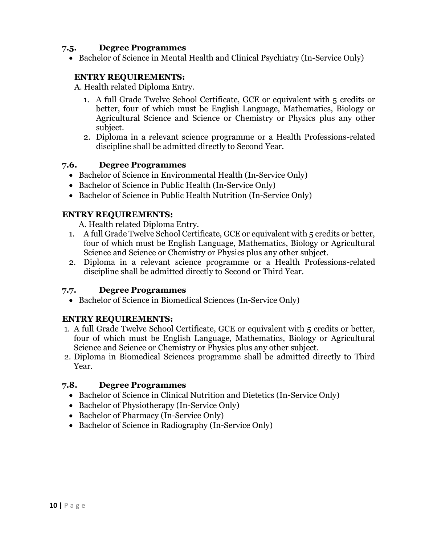### **7.5. Degree Programmes**

• Bachelor of Science in Mental Health and Clinical Psychiatry (In-Service Only)

## **ENTRY REQUIREMENTS:**

A. Health related Diploma Entry.

- 1. A full Grade Twelve School Certificate, GCE or equivalent with 5 credits or better, four of which must be English Language, Mathematics, Biology or Agricultural Science and Science or Chemistry or Physics plus any other subject.
- 2. Diploma in a relevant science programme or a Health Professions-related discipline shall be admitted directly to Second Year.

#### **7.6. Degree Programmes**

- Bachelor of Science in Environmental Health (In-Service Only)
- Bachelor of Science in Public Health (In-Service Only)
- Bachelor of Science in Public Health Nutrition (In-Service Only)

#### **ENTRY REQUIREMENTS:**

A. Health related Diploma Entry.

- 1. A full Grade Twelve School Certificate, GCE or equivalent with 5 credits or better, four of which must be English Language, Mathematics, Biology or Agricultural Science and Science or Chemistry or Physics plus any other subject.
- 2. Diploma in a relevant science programme or a Health Professions-related discipline shall be admitted directly to Second or Third Year.

## **7.7. Degree Programmes**

• Bachelor of Science in Biomedical Sciences (In-Service Only)

## **ENTRY REQUIREMENTS:**

- 1. A full Grade Twelve School Certificate, GCE or equivalent with 5 credits or better, four of which must be English Language, Mathematics, Biology or Agricultural Science and Science or Chemistry or Physics plus any other subject.
- 2. Diploma in Biomedical Sciences programme shall be admitted directly to Third Year.

## **7.8. Degree Programmes**

- Bachelor of Science in Clinical Nutrition and Dietetics (In-Service Only)
- Bachelor of Physiotherapy (In-Service Only)
- Bachelor of Pharmacy (In-Service Only)
- Bachelor of Science in Radiography (In-Service Only)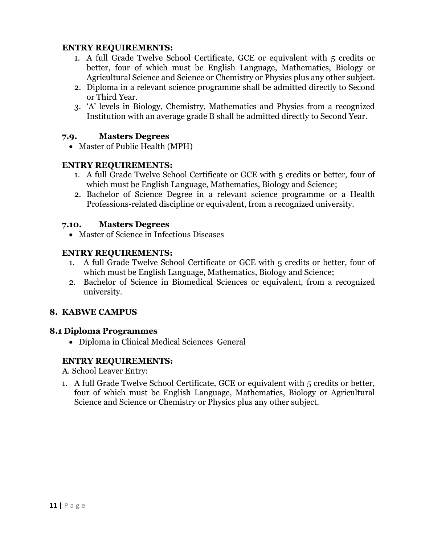## **ENTRY REQUIREMENTS:**

- 1. A full Grade Twelve School Certificate, GCE or equivalent with 5 credits or better, four of which must be English Language, Mathematics, Biology or Agricultural Science and Science or Chemistry or Physics plus any other subject.
- 2. Diploma in a relevant science programme shall be admitted directly to Second or Third Year.
- 3. 'A' levels in Biology, Chemistry, Mathematics and Physics from a recognized Institution with an average grade B shall be admitted directly to Second Year.

#### **7.9. Masters Degrees**

• Master of Public Health (MPH)

#### **ENTRY REQUIREMENTS:**

- 1. A full Grade Twelve School Certificate or GCE with 5 credits or better, four of which must be English Language, Mathematics, Biology and Science;
- 2. Bachelor of Science Degree in a relevant science programme or a Health Professions-related discipline or equivalent, from a recognized university.

#### **7.10. Masters Degrees**

Master of Science in Infectious Diseases

## **ENTRY REQUIREMENTS:**

- 1. A full Grade Twelve School Certificate or GCE with 5 credits or better, four of which must be English Language, Mathematics, Biology and Science;
- 2. Bachelor of Science in Biomedical Sciences or equivalent, from a recognized university.

## **8. KABWE CAMPUS**

#### **8.1 Diploma Programmes**

Diploma in Clinical Medical Sciences General

## **ENTRY REQUIREMENTS:**

A. School Leaver Entry:

1. A full Grade Twelve School Certificate, GCE or equivalent with 5 credits or better, four of which must be English Language, Mathematics, Biology or Agricultural Science and Science or Chemistry or Physics plus any other subject.